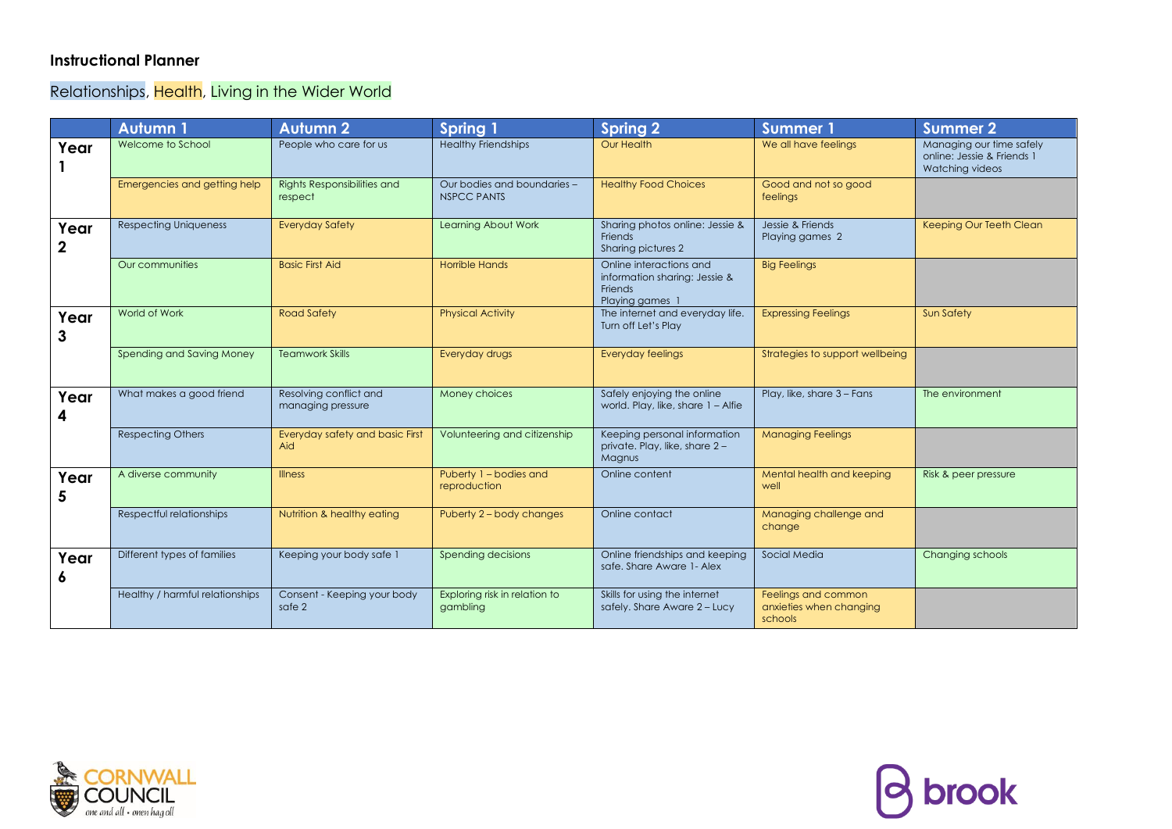## **Instructional Planner**

Relationships, Health, Living in the Wider World

|                     | <b>Autumn1</b>                  | <b>Autumn 2</b>                             | <b>Spring 1</b>                                   | <b>Spring 2</b>                                                                        | <b>Summer 1</b>                                           | <b>Summer 2</b>                                                           |
|---------------------|---------------------------------|---------------------------------------------|---------------------------------------------------|----------------------------------------------------------------------------------------|-----------------------------------------------------------|---------------------------------------------------------------------------|
| Year                | Welcome to School               | People who care for us                      | <b>Healthy Friendships</b>                        | Our Health                                                                             | We all have feelings                                      | Managing our time safely<br>online: Jessie & Friends 1<br>Watching videos |
|                     | Emergencies and getting help    | Rights Responsibilities and<br>respect      | Our bodies and boundaries -<br><b>NSPCC PANTS</b> | <b>Healthy Food Choices</b>                                                            | Good and not so good<br>feelings                          |                                                                           |
| Year<br>$\mathbf 2$ | <b>Respecting Uniqueness</b>    | <b>Everyday Safety</b>                      | Learning About Work                               | Sharing photos online: Jessie &<br>Friends<br>Sharing pictures 2                       | Jessie & Friends<br>Playing games 2                       | Keeping Our Teeth Clean                                                   |
|                     | Our communities                 | <b>Basic First Aid</b>                      | <b>Horrible Hands</b>                             | Online interactions and<br>information sharing: Jessie &<br>Friends<br>Playing games 1 | <b>Big Feelings</b>                                       |                                                                           |
| Year<br>3           | World of Work                   | <b>Road Safety</b>                          | <b>Physical Activity</b>                          | The internet and everyday life.<br>Turn off Let's Play                                 | <b>Expressing Feelings</b>                                | <b>Sun Safety</b>                                                         |
|                     | Spending and Saving Money       | <b>Teamwork Skills</b>                      | Everyday drugs                                    | <b>Everyday feelings</b>                                                               | Strategies to support wellbeing                           |                                                                           |
| Year<br>4           | What makes a good friend        | Resolving conflict and<br>managing pressure | Money choices                                     | Safely enjoying the online<br>world. Play, like, share 1 - Alfie                       | Play, like, share 3 - Fans                                | The environment                                                           |
|                     | <b>Respecting Others</b>        | Everyday safety and basic First<br>Aid      | Volunteering and citizenship                      | Keeping personal information<br>private. Play, like, share 2-<br>Magnus                | <b>Managing Feelings</b>                                  |                                                                           |
| Year<br>5           | A diverse community             | <b>Illness</b>                              | Puberty 1 - bodies and<br>reproduction            | Online content                                                                         | Mental health and keeping<br>well                         | Risk & peer pressure                                                      |
|                     | Respectful relationships        | Nutrition & healthy eating                  | Puberty 2 - body changes                          | Online contact                                                                         | Managing challenge and<br>change                          |                                                                           |
| Year<br>6           | Different types of families     | Keeping your body safe 1                    | Spending decisions                                | Online friendships and keeping<br>safe, Share Aware 1- Alex                            | Social Media                                              | Changing schools                                                          |
|                     | Healthy / harmful relationships | Consent - Keeping your body<br>safe 2       | Exploring risk in relation to<br>gambling         | Skills for using the internet<br>safely. Share Aware 2 - Lucy                          | Feelings and common<br>anxieties when changing<br>schools |                                                                           |